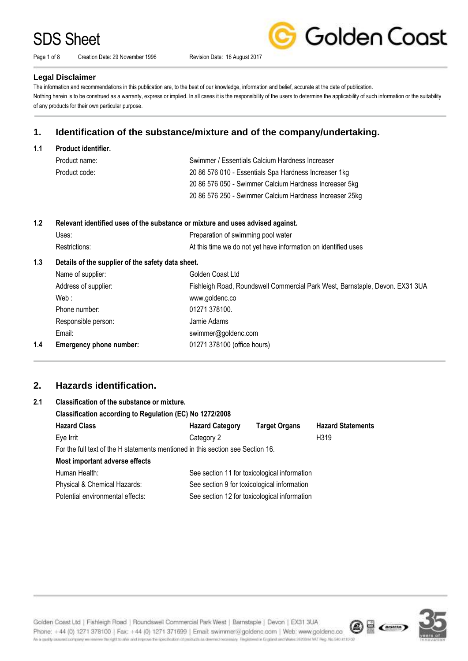Page 1 of 8 Creation Date: 29 November 1996 Revision Date: 16 August 2017



#### **Legal Disclaimer**

The information and recommendations in this publication are, to the best of our knowledge, information and belief, accurate at the date of publication. Nothing herein is to be construed as a warranty, express or implied. In all cases it is the responsibility of the users to determine the applicability of such information or the suitability of any products for their own particular purpose.

## **1. Identification of the substance/mixture and of the company/undertaking.**

**1.1 Product identifier.**

| Product name: | Swimmer / Essentials Calcium Hardness Increaser         |
|---------------|---------------------------------------------------------|
| Product code: | 20 86 576 010 - Essentials Spa Hardness Increaser 1kg   |
|               | 20 86 576 050 - Swimmer Calcium Hardness Increaser 5kg  |
|               | 20 86 576 250 - Swimmer Calcium Hardness Increaser 25kg |

### **1.2 Relevant identified uses of the substance or mixture and uses advised against.**

| Uses:         | Preparation of swimming pool water                             |
|---------------|----------------------------------------------------------------|
| Restrictions: | At this time we do not yet have information on identified uses |

### **1.3 Details of the supplier of the safety data sheet.**

|     | Name of supplier:              | Golden Coast Ltd                                                             |
|-----|--------------------------------|------------------------------------------------------------------------------|
|     | Address of supplier:           | Fishleigh Road, Roundswell Commercial Park West, Barnstaple, Devon. EX31 3UA |
|     | Web:                           | www.goldenc.co                                                               |
|     | Phone number:                  | 01271 378100.                                                                |
|     | Responsible person:            | Jamie Adams                                                                  |
|     | Email:                         | swimmer@goldenc.com                                                          |
| 1.4 | <b>Emergency phone number:</b> | 01271 378100 (office hours)                                                  |
|     |                                |                                                                              |

## **2. Hazards identification.**

| Classification of the substance or mixture.                                     |                                              |                      |                                              |  |
|---------------------------------------------------------------------------------|----------------------------------------------|----------------------|----------------------------------------------|--|
| Classification according to Regulation (EC) No 1272/2008                        |                                              |                      |                                              |  |
| <b>Hazard Class</b>                                                             | <b>Hazard Category</b>                       | <b>Target Organs</b> | <b>Hazard Statements</b>                     |  |
| Eye Irrit                                                                       | Category 2                                   |                      | H319                                         |  |
| For the full text of the H statements mentioned in this section see Section 16. |                                              |                      |                                              |  |
| Most important adverse effects                                                  |                                              |                      |                                              |  |
| Human Health:                                                                   | See section 11 for toxicological information |                      |                                              |  |
| Physical & Chemical Hazards:                                                    | See section 9 for toxicological information  |                      |                                              |  |
| Potential environmental effects:                                                |                                              |                      |                                              |  |
|                                                                                 |                                              |                      | See section 12 for toxicological information |  |

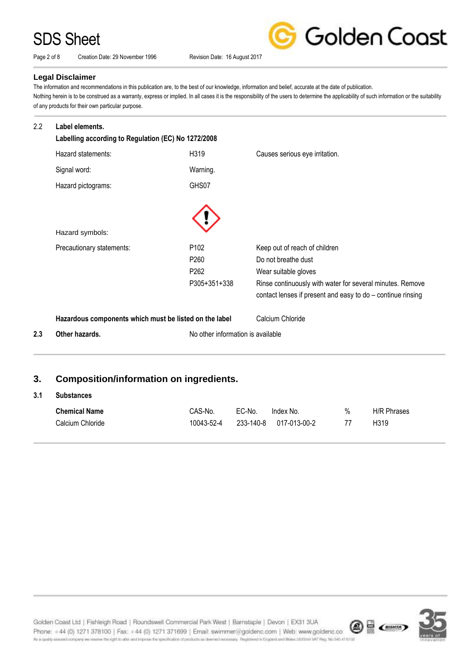Page 2 of 8 Creation Date: 29 November 1996 Revision Date: 16 August 2017

Golden Coast

### **Legal Disclaimer**

The information and recommendations in this publication are, to the best of our knowledge, information and belief, accurate at the date of publication. Nothing herein is to be construed as a warranty, express or implied. In all cases it is the responsibility of the users to determine the applicability of such information or the suitability of any products for their own particular purpose.

| 2.2 | Label elements.<br>Labelling according to Regulation (EC) No 1272/2008 |                                   |                                                                                                                          |
|-----|------------------------------------------------------------------------|-----------------------------------|--------------------------------------------------------------------------------------------------------------------------|
|     | Hazard statements:                                                     | H319                              | Causes serious eye irritation.                                                                                           |
|     | Signal word:                                                           | Warning.                          |                                                                                                                          |
|     | Hazard pictograms:                                                     | GHS07                             |                                                                                                                          |
|     |                                                                        |                                   |                                                                                                                          |
|     | Hazard symbols:                                                        |                                   |                                                                                                                          |
|     | Precautionary statements:                                              | P <sub>102</sub>                  | Keep out of reach of children                                                                                            |
|     |                                                                        | P <sub>260</sub>                  | Do not breathe dust                                                                                                      |
|     |                                                                        | P <sub>262</sub>                  | Wear suitable gloves                                                                                                     |
|     |                                                                        | P305+351+338                      | Rinse continuously with water for several minutes. Remove<br>contact lenses if present and easy to do - continue rinsing |
|     | Hazardous components which must be listed on the label                 |                                   | Calcium Chloride                                                                                                         |
| 2.3 | Other hazards.                                                         | No other information is available |                                                                                                                          |
|     |                                                                        |                                   |                                                                                                                          |
| 3.  | <b>Composition/information on ingredients.</b>                         |                                   |                                                                                                                          |
| 3.1 | <b>Substances</b>                                                      |                                   |                                                                                                                          |

| <b>Chemical Name</b> | CAS-No.    | EC-No. | Index No.              | % | <b>H/R Phrases</b> |
|----------------------|------------|--------|------------------------|---|--------------------|
| Calcium Chloride     | 10043-52-4 |        | 233-140-8 017-013-00-2 |   | H <sub>3</sub> 19  |



Golden Coast Ltd | Fishleigh Road | Roundswell Commercial Park West | Barnstaple | Devon | EX31 3UA  $\circledast$  (mm) Phone: +44 (0) 1271 378100 | Fax: +44 (0) 1271 371699 | Email: swimmer@goldenc.com | Web: www.goldenc.co As a quality assumed company we inserve the right to also and improve the specification of products as determed necessary. Registered in England and Wales 2420044 VAT Reg. No 540 #110/05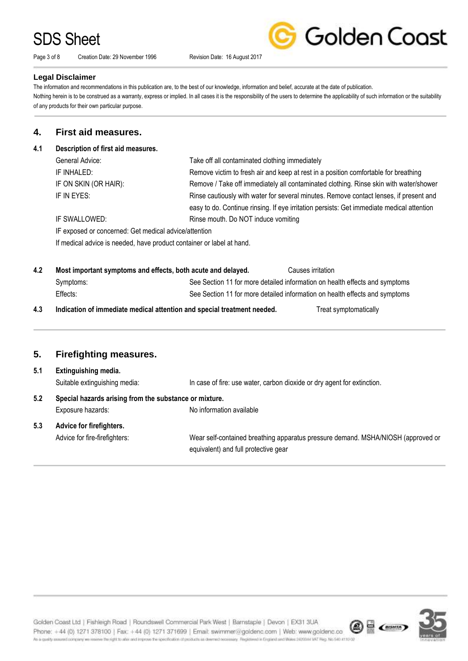Page 3 of 8 Creation Date: 29 November 1996 Revision Date: 16 August 2017

Golden Coast

#### **Legal Disclaimer**

The information and recommendations in this publication are, to the best of our knowledge, information and belief, accurate at the date of publication. Nothing herein is to be construed as a warranty, express or implied. In all cases it is the responsibility of the users to determine the applicability of such information or the suitability of any products for their own particular purpose.

### **4. First aid measures.**

### **4.1 Description of first aid measures.**

|     | General Advice:                                                         | Take off all contaminated clothing immediately                                                                           |
|-----|-------------------------------------------------------------------------|--------------------------------------------------------------------------------------------------------------------------|
|     | IF INHALED:                                                             | Remove victim to fresh air and keep at rest in a position comfortable for breathing                                      |
|     | IF ON SKIN (OR HAIR):                                                   | Remove / Take off immediately all contaminated clothing. Rinse skin with water/shower                                    |
|     | IF IN EYES:                                                             | Rinse cautiously with water for several minutes. Remove contact lenses, if present and                                   |
|     |                                                                         | easy to do. Continue rinsing. If eye irritation persists: Get immediate medical attention                                |
|     | IF SWALLOWED:                                                           | Rinse mouth. Do NOT induce vomiting                                                                                      |
|     | IF exposed or concerned: Get medical advice/attention                   |                                                                                                                          |
|     | If medical advice is needed, have product container or label at hand.   |                                                                                                                          |
|     |                                                                         |                                                                                                                          |
| 4.2 | Most important symptoms and effects, both acute and delayed.            | Causes irritation                                                                                                        |
|     | Symptoms:                                                               | See Section 11 for more detailed information on health effects and symptoms                                              |
|     | Effects:                                                                | See Section 11 for more detailed information on health effects and symptoms                                              |
| 4.3 | Indication of immediate medical attention and special treatment needed. | Treat symptomatically                                                                                                    |
| 5.  | <b>Firefighting measures.</b>                                           |                                                                                                                          |
| 5.1 | Extinguishing media.                                                    |                                                                                                                          |
|     | Suitable extinguishing media:                                           | In case of fire: use water, carbon dioxide or dry agent for extinction.                                                  |
|     |                                                                         |                                                                                                                          |
| 5.2 | Special hazards arising from the substance or mixture.                  |                                                                                                                          |
|     | Exposure hazards:                                                       | No information available                                                                                                 |
|     |                                                                         |                                                                                                                          |
| 5.3 | Advice for firefighters.                                                |                                                                                                                          |
|     | Advice for fire-firefighters:                                           | Wear self-contained breathing apparatus pressure demand. MSHA/NIOSH (approved or<br>equivalent) and full protective gear |

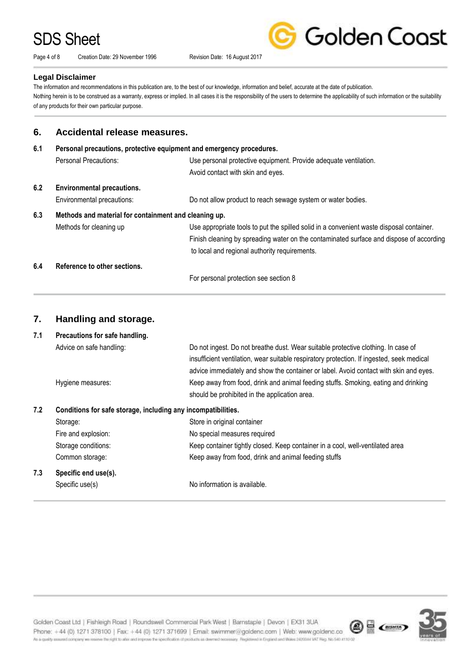Page 4 of 8 Creation Date: 29 November 1996 Revision Date: 16 August 2017

Golden Coast

#### **Legal Disclaimer**

The information and recommendations in this publication are, to the best of our knowledge, information and belief, accurate at the date of publication. Nothing herein is to be construed as a warranty, express or implied. In all cases it is the responsibility of the users to determine the applicability of such information or the suitability of any products for their own particular purpose.

### **6. Accidental release measures.**

| 6.1 | Personal precautions, protective equipment and emergency procedures. |                                                                                          |  |
|-----|----------------------------------------------------------------------|------------------------------------------------------------------------------------------|--|
|     | Personal Precautions:                                                | Use personal protective equipment. Provide adequate ventilation.                         |  |
|     |                                                                      | Avoid contact with skin and eyes.                                                        |  |
| 6.2 | <b>Environmental precautions.</b>                                    |                                                                                          |  |
|     | Environmental precautions:                                           | Do not allow product to reach sewage system or water bodies.                             |  |
| 6.3 | Methods and material for containment and cleaning up.                |                                                                                          |  |
|     | Methods for cleaning up                                              | Use appropriate tools to put the spilled solid in a convenient waste disposal container. |  |
|     |                                                                      | Finish cleaning by spreading water on the contaminated surface and dispose of according  |  |
|     |                                                                      | to local and regional authority requirements.                                            |  |
| 6.4 | Reference to other sections.                                         |                                                                                          |  |
|     |                                                                      | For personal protection see section 8                                                    |  |

### **7. Handling and storage.**

**7.1 Precautions for safe handling.** Advice on safe handling: Do not ingest. Do not breathe dust. Wear suitable protective clothing. In case of insufficient ventilation, wear suitable respiratory protection. If ingested, seek medical advice immediately and show the container or label. Avoid contact with skin and eyes. Hygiene measures: Keep away from food, drink and animal feeding stuffs. Smoking, eating and drinking should be prohibited in the application area. **7.2 Conditions for safe storage, including any incompatibilities.** Storage: Storage: Store in original container Fire and explosion: No special measures required

| 7.3 | Specific end use(s). |                                                                               |
|-----|----------------------|-------------------------------------------------------------------------------|
|     | Common storage:      | Keep away from food, drink and animal feeding stuffs                          |
|     | Storage conditions:  | Keep container tightly closed. Keep container in a cool, well-ventilated area |
|     | Fire and explosion.  | The special measures required                                                 |

Specific use(s) No information is available.

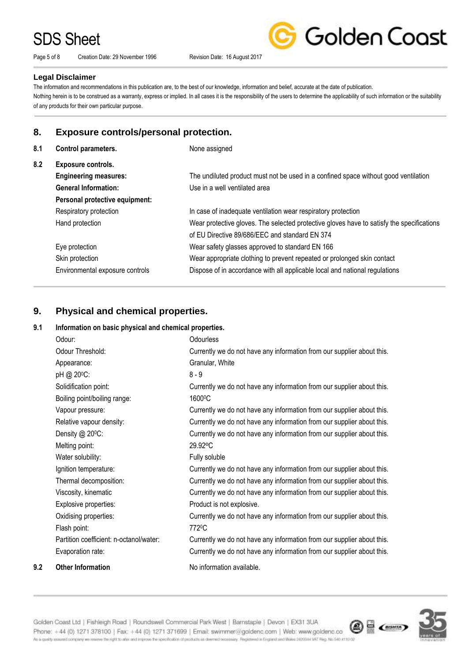Page 5 of 8 Creation Date: 29 November 1996 Revision Date: 16 August 2017

Golden Coast

#### **Legal Disclaimer**

The information and recommendations in this publication are, to the best of our knowledge, information and belief, accurate at the date of publication. Nothing herein is to be construed as a warranty, express or implied. In all cases it is the responsibility of the users to determine the applicability of such information or the suitability of any products for their own particular purpose.

### **8. Exposure controls/personal protection.**

| 8.1 | Control parameters.             | None assigned                                                                             |
|-----|---------------------------------|-------------------------------------------------------------------------------------------|
| 8.2 | Exposure controls.              |                                                                                           |
|     | <b>Engineering measures:</b>    | The undiluted product must not be used in a confined space without good ventilation       |
|     | <b>General Information:</b>     | Use in a well ventilated area                                                             |
|     | Personal protective equipment:  |                                                                                           |
|     | Respiratory protection          | In case of inadequate ventilation wear respiratory protection                             |
|     | Hand protection                 | Wear protective gloves. The selected protective gloves have to satisfy the specifications |
|     |                                 | of EU Directive 89/686/EEC and standard EN 374                                            |
|     | Eye protection                  | Wear safety glasses approved to standard EN 166                                           |
|     | Skin protection                 | Wear appropriate clothing to prevent repeated or prolonged skin contact                   |
|     | Environmental exposure controls | Dispose of in accordance with all applicable local and national regulations               |
|     |                                 |                                                                                           |

## **9. Physical and chemical properties.**

### **9.1 Information on basic physical and chemical properties.**

|     | Odour:                                  | <b>Odourless</b>                                                       |
|-----|-----------------------------------------|------------------------------------------------------------------------|
|     | Odour Threshold:                        | Currently we do not have any information from our supplier about this. |
|     | Appearance:                             | Granular, White                                                        |
|     | pH @ 20°C:                              | $8 - 9$                                                                |
|     | Solidification point:                   | Currently we do not have any information from our supplier about this. |
|     | Boiling point/boiling range:            | 1600°C                                                                 |
|     | Vapour pressure:                        | Currently we do not have any information from our supplier about this. |
|     | Relative vapour density:                | Currently we do not have any information from our supplier about this. |
|     | Density @ 20°C:                         | Currently we do not have any information from our supplier about this. |
|     | Melting point:                          | 29.92°C                                                                |
|     | Water solubility:                       | Fully soluble                                                          |
|     | Ignition temperature:                   | Currently we do not have any information from our supplier about this. |
|     | Thermal decomposition:                  | Currently we do not have any information from our supplier about this. |
|     | Viscosity, kinematic                    | Currently we do not have any information from our supplier about this. |
|     | Explosive properties:                   | Product is not explosive.                                              |
|     | Oxidising properties:                   | Currently we do not have any information from our supplier about this. |
|     | Flash point:                            | 772 <sup>0</sup> C                                                     |
|     | Partition coefficient: n-octanol/water: | Currently we do not have any information from our supplier about this. |
|     | Evaporation rate:                       | Currently we do not have any information from our supplier about this. |
| 9.2 | <b>Other Information</b>                | No information available.                                              |

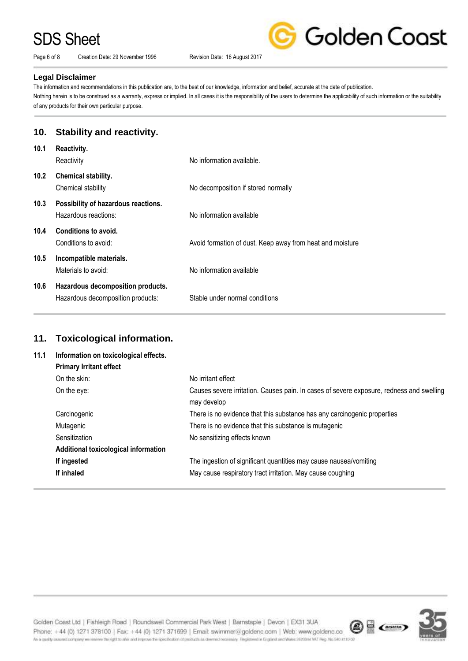Page 6 of 8 Creation Date: 29 November 1996 Revision Date: 16 August 2017

Golden Coast

#### **Legal Disclaimer**

The information and recommendations in this publication are, to the best of our knowledge, information and belief, accurate at the date of publication. Nothing herein is to be construed as a warranty, express or implied. In all cases it is the responsibility of the users to determine the applicability of such information or the suitability of any products for their own particular purpose.

### **10. Stability and reactivity.**

| 10.1              | Reactivity.<br>Reactivity                                              | No information available.                                 |
|-------------------|------------------------------------------------------------------------|-----------------------------------------------------------|
| 10.2 <sub>2</sub> | Chemical stability.<br>Chemical stability                              | No decomposition if stored normally                       |
| 10.3              | Possibility of hazardous reactions.<br>Hazardous reactions:            | No information available                                  |
| 10.4              | Conditions to avoid.<br>Conditions to avoid:                           | Avoid formation of dust. Keep away from heat and moisture |
| 10.5              | Incompatible materials.<br>Materials to avoid:                         | No information available                                  |
| 10.6              | Hazardous decomposition products.<br>Hazardous decomposition products: | Stable under normal conditions                            |

## **11. Toxicological information.**

| 11.1 | Information on toxicological effects. |                                                                                                         |
|------|---------------------------------------|---------------------------------------------------------------------------------------------------------|
|      | <b>Primary Irritant effect</b>        |                                                                                                         |
|      | On the skin:                          | No irritant effect                                                                                      |
|      | On the eye:                           | Causes severe irritation. Causes pain. In cases of severe exposure, redness and swelling<br>may develop |
|      | Carcinogenic                          | There is no evidence that this substance has any carcinogenic properties                                |
|      | Mutagenic                             | There is no evidence that this substance is mutagenic                                                   |
|      | Sensitization                         | No sensitizing effects known                                                                            |
|      | Additional toxicological information  |                                                                                                         |
|      | If ingested                           | The ingestion of significant quantities may cause nausea/vomiting                                       |
|      | If inhaled                            | May cause respiratory tract irritation. May cause coughing                                              |

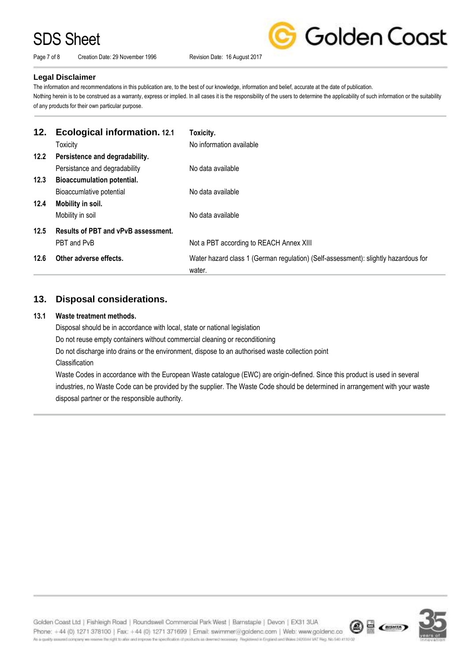Page 7 of 8 Creation Date: 29 November 1996 Revision Date: 16 August 2017

Golden Coast

### **Legal Disclaimer**

The information and recommendations in this publication are, to the best of our knowledge, information and belief, accurate at the date of publication. Nothing herein is to be construed as a warranty, express or implied. In all cases it is the responsibility of the users to determine the applicability of such information or the suitability of any products for their own particular purpose.

| 12.  | <b>Ecological information. 12.1</b><br><b>Toxicity</b> | Toxicity.<br>No information available                                                        |
|------|--------------------------------------------------------|----------------------------------------------------------------------------------------------|
| 12.2 | Persistence and degradability.                         |                                                                                              |
|      | Persistance and degradability                          | No data available                                                                            |
| 12.3 | <b>Bioaccumulation potential.</b>                      |                                                                                              |
|      | Bioaccumlative potential                               | No data available                                                                            |
| 12.4 | Mobility in soil.                                      |                                                                                              |
|      | Mobility in soil                                       | No data available                                                                            |
| 12.5 | Results of PBT and vPvB assessment.                    |                                                                                              |
|      | PBT and PvB                                            | Not a PBT according to REACH Annex XIII                                                      |
| 12.6 | Other adverse effects.                                 | Water hazard class 1 (German regulation) (Self-assessment): slightly hazardous for<br>water. |

## **13. Disposal considerations.**

### **13.1 Waste treatment methods.**

Disposal should be in accordance with local, state or national legislation

Do not reuse empty containers without commercial cleaning or reconditioning

Do not discharge into drains or the environment, dispose to an authorised waste collection point

Classification

Waste Codes in accordance with the European Waste catalogue (EWC) are origin-defined. Since this product is used in several industries, no Waste Code can be provided by the supplier. The Waste Code should be determined in arrangement with your waste disposal partner or the responsible authority.